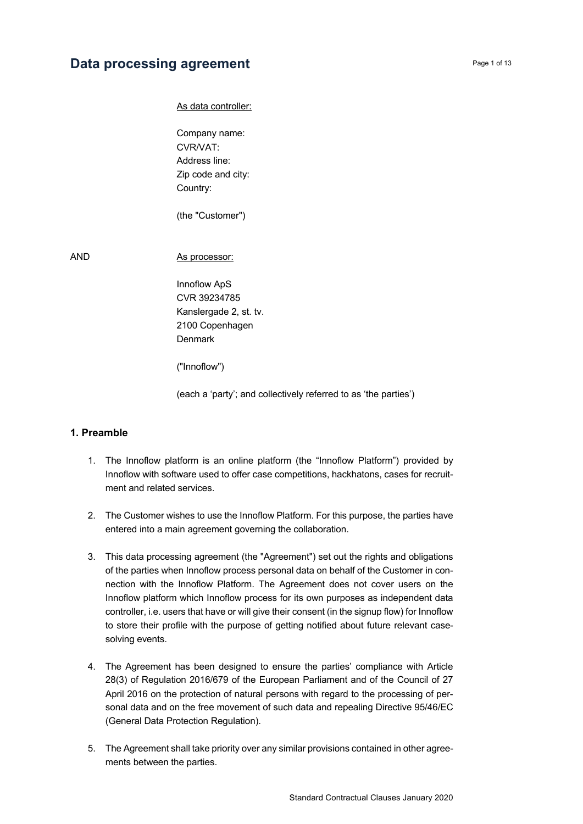# **Data processing agreement Page 1 of 13**

As data controller:

Company name: CVR/VAT: Address line: Zip code and city: Country:

(the "Customer")

AND As processor:

Innoflow ApS CVR 39234785 Kanslergade 2, st. tv. 2100 Copenhagen Denmark

("Innoflow")

(each a 'party'; and collectively referred to as 'the parties')

### **1. Preamble**

- 1. The Innoflow platform is an online platform (the "Innoflow Platform") provided by Innoflow with software used to offer case competitions, hackhatons, cases for recruitment and related services.
- 2. The Customer wishes to use the Innoflow Platform. For this purpose, the parties have entered into a main agreement governing the collaboration.
- 3. This data processing agreement (the "Agreement") set out the rights and obligations of the parties when Innoflow process personal data on behalf of the Customer in connection with the Innoflow Platform. The Agreement does not cover users on the Innoflow platform which Innoflow process for its own purposes as independent data controller, i.e. users that have or will give their consent (in the signup flow) for Innoflow to store their profile with the purpose of getting notified about future relevant casesolving events.
- 4. The Agreement has been designed to ensure the parties' compliance with Article 28(3) of Regulation 2016/679 of the European Parliament and of the Council of 27 April 2016 on the protection of natural persons with regard to the processing of personal data and on the free movement of such data and repealing Directive 95/46/EC (General Data Protection Regulation).
- 5. The Agreement shall take priority over any similar provisions contained in other agreements between the parties.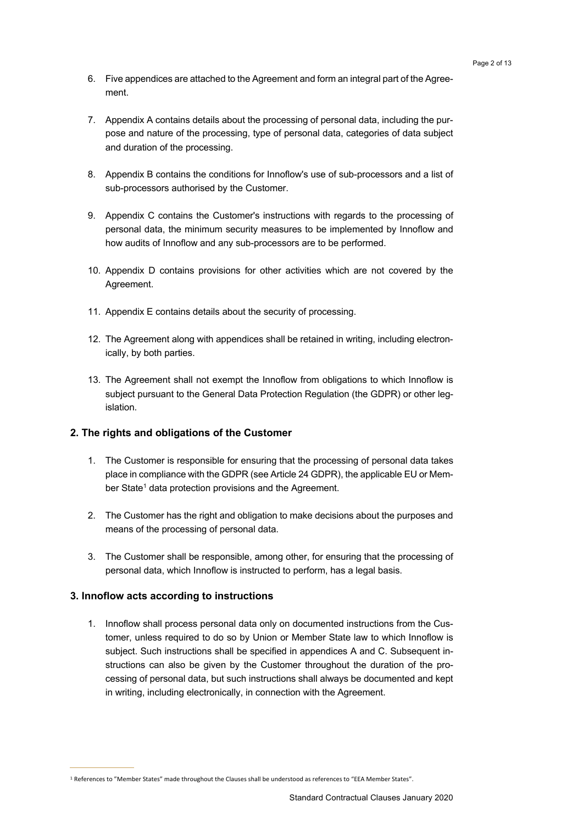- 6. Five appendices are attached to the Agreement and form an integral part of the Agreement.
- 7. Appendix A contains details about the processing of personal data, including the purpose and nature of the processing, type of personal data, categories of data subject and duration of the processing.
- 8. Appendix B contains the conditions for Innoflow's use of sub-processors and a list of sub-processors authorised by the Customer.
- 9. Appendix C contains the Customer's instructions with regards to the processing of personal data, the minimum security measures to be implemented by Innoflow and how audits of Innoflow and any sub-processors are to be performed.
- 10. Appendix D contains provisions for other activities which are not covered by the Agreement.
- 11. Appendix E contains details about the security of processing.
- 12. The Agreement along with appendices shall be retained in writing, including electronically, by both parties.
- 13. The Agreement shall not exempt the Innoflow from obligations to which Innoflow is subject pursuant to the General Data Protection Regulation (the GDPR) or other legislation.

# **2. The rights and obligations of the Customer**

- 1. The Customer is responsible for ensuring that the processing of personal data takes place in compliance with the GDPR (see Article 24 GDPR), the applicable EU or Member State<sup>1</sup> data protection provisions and the Agreement.
- 2. The Customer has the right and obligation to make decisions about the purposes and means of the processing of personal data.
- 3. The Customer shall be responsible, among other, for ensuring that the processing of personal data, which Innoflow is instructed to perform, has a legal basis.

# **3. Innoflow acts according to instructions**

1. Innoflow shall process personal data only on documented instructions from the Customer, unless required to do so by Union or Member State law to which Innoflow is subject. Such instructions shall be specified in appendices A and C. Subsequent instructions can also be given by the Customer throughout the duration of the processing of personal data, but such instructions shall always be documented and kept in writing, including electronically, in connection with the Agreement.

<sup>1</sup> References to "Member States" made throughout the Clauses shall be understood as references to "EEA Member States".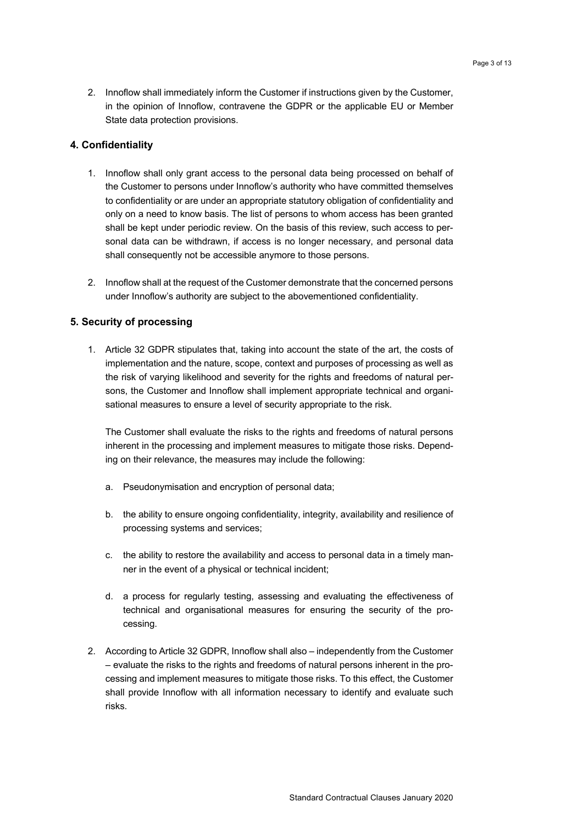2. Innoflow shall immediately inform the Customer if instructions given by the Customer, in the opinion of Innoflow, contravene the GDPR or the applicable EU or Member State data protection provisions.

#### **4. Confidentiality**

- 1. Innoflow shall only grant access to the personal data being processed on behalf of the Customer to persons under Innoflow's authority who have committed themselves to confidentiality or are under an appropriate statutory obligation of confidentiality and only on a need to know basis. The list of persons to whom access has been granted shall be kept under periodic review. On the basis of this review, such access to personal data can be withdrawn, if access is no longer necessary, and personal data shall consequently not be accessible anymore to those persons.
- 2. Innoflow shall at the request of the Customer demonstrate that the concerned persons under Innoflow's authority are subject to the abovementioned confidentiality.

### **5. Security of processing**

1. Article 32 GDPR stipulates that, taking into account the state of the art, the costs of implementation and the nature, scope, context and purposes of processing as well as the risk of varying likelihood and severity for the rights and freedoms of natural persons, the Customer and Innoflow shall implement appropriate technical and organisational measures to ensure a level of security appropriate to the risk.

The Customer shall evaluate the risks to the rights and freedoms of natural persons inherent in the processing and implement measures to mitigate those risks. Depending on their relevance, the measures may include the following:

- a. Pseudonymisation and encryption of personal data;
- b. the ability to ensure ongoing confidentiality, integrity, availability and resilience of processing systems and services;
- c. the ability to restore the availability and access to personal data in a timely manner in the event of a physical or technical incident;
- d. a process for regularly testing, assessing and evaluating the effectiveness of technical and organisational measures for ensuring the security of the processing.
- 2. According to Article 32 GDPR, Innoflow shall also independently from the Customer – evaluate the risks to the rights and freedoms of natural persons inherent in the processing and implement measures to mitigate those risks. To this effect, the Customer shall provide Innoflow with all information necessary to identify and evaluate such risks.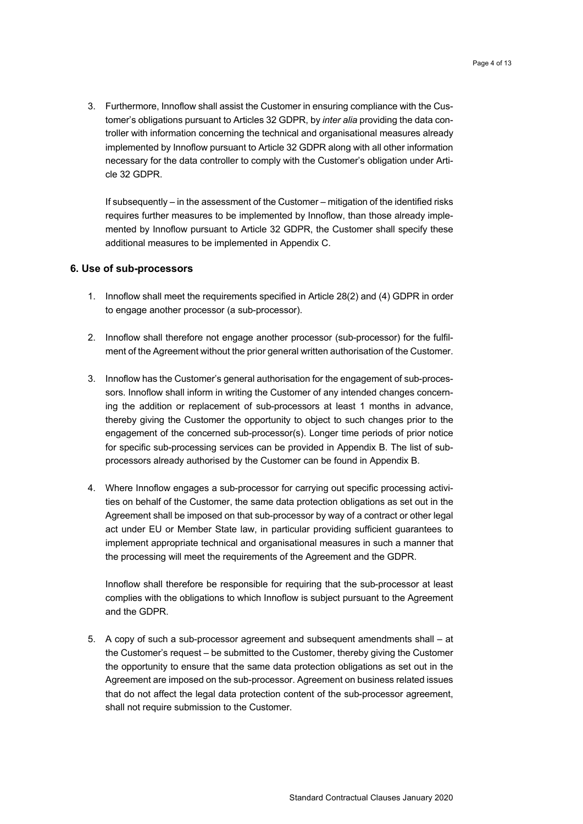3. Furthermore, Innoflow shall assist the Customer in ensuring compliance with the Customer's obligations pursuant to Articles 32 GDPR, by *inter alia* providing the data controller with information concerning the technical and organisational measures already implemented by Innoflow pursuant to Article 32 GDPR along with all other information necessary for the data controller to comply with the Customer's obligation under Article 32 GDPR.

If subsequently – in the assessment of the Customer – mitigation of the identified risks requires further measures to be implemented by Innoflow, than those already implemented by Innoflow pursuant to Article 32 GDPR, the Customer shall specify these additional measures to be implemented in Appendix C.

#### **6. Use of sub-processors**

- 1. Innoflow shall meet the requirements specified in Article 28(2) and (4) GDPR in order to engage another processor (a sub-processor).
- 2. Innoflow shall therefore not engage another processor (sub-processor) for the fulfilment of the Agreement without the prior general written authorisation of the Customer.
- 3. Innoflow has the Customer's general authorisation for the engagement of sub-processors. Innoflow shall inform in writing the Customer of any intended changes concerning the addition or replacement of sub-processors at least 1 months in advance, thereby giving the Customer the opportunity to object to such changes prior to the engagement of the concerned sub-processor(s). Longer time periods of prior notice for specific sub-processing services can be provided in Appendix B. The list of subprocessors already authorised by the Customer can be found in Appendix B.
- 4. Where Innoflow engages a sub-processor for carrying out specific processing activities on behalf of the Customer, the same data protection obligations as set out in the Agreement shall be imposed on that sub-processor by way of a contract or other legal act under EU or Member State law, in particular providing sufficient guarantees to implement appropriate technical and organisational measures in such a manner that the processing will meet the requirements of the Agreement and the GDPR.

Innoflow shall therefore be responsible for requiring that the sub-processor at least complies with the obligations to which Innoflow is subject pursuant to the Agreement and the GDPR.

5. A copy of such a sub-processor agreement and subsequent amendments shall – at the Customer's request – be submitted to the Customer, thereby giving the Customer the opportunity to ensure that the same data protection obligations as set out in the Agreement are imposed on the sub-processor. Agreement on business related issues that do not affect the legal data protection content of the sub-processor agreement, shall not require submission to the Customer.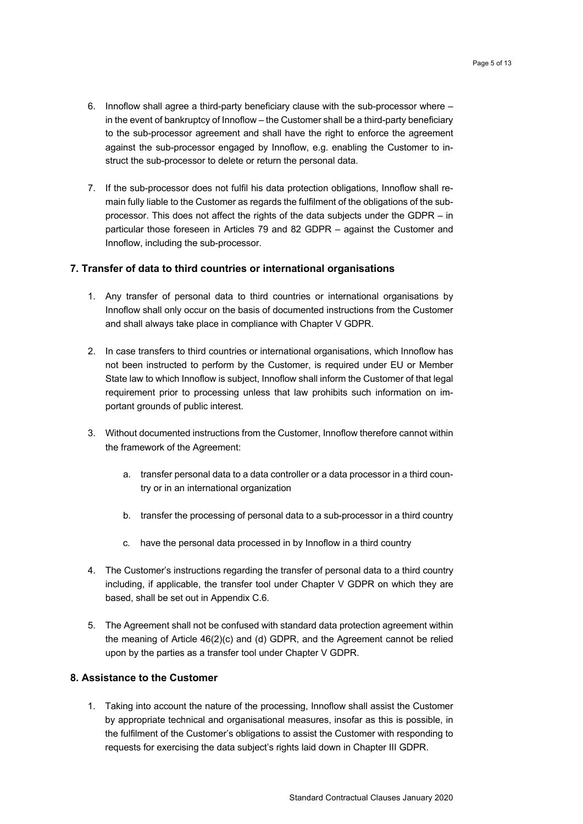- 6. Innoflow shall agree a third-party beneficiary clause with the sub-processor where in the event of bankruptcy of Innoflow – the Customer shall be a third-party beneficiary to the sub-processor agreement and shall have the right to enforce the agreement against the sub-processor engaged by Innoflow, e.g. enabling the Customer to instruct the sub-processor to delete or return the personal data.
- 7. If the sub-processor does not fulfil his data protection obligations, Innoflow shall remain fully liable to the Customer as regards the fulfilment of the obligations of the subprocessor. This does not affect the rights of the data subjects under the GDPR – in particular those foreseen in Articles 79 and 82 GDPR – against the Customer and Innoflow, including the sub-processor.

### **7. Transfer of data to third countries or international organisations**

- 1. Any transfer of personal data to third countries or international organisations by Innoflow shall only occur on the basis of documented instructions from the Customer and shall always take place in compliance with Chapter V GDPR.
- 2. In case transfers to third countries or international organisations, which Innoflow has not been instructed to perform by the Customer, is required under EU or Member State law to which Innoflow is subject, Innoflow shall inform the Customer of that legal requirement prior to processing unless that law prohibits such information on important grounds of public interest.
- 3. Without documented instructions from the Customer, Innoflow therefore cannot within the framework of the Agreement:
	- a. transfer personal data to a data controller or a data processor in a third country or in an international organization
	- b. transfer the processing of personal data to a sub-processor in a third country
	- c. have the personal data processed in by Innoflow in a third country
- 4. The Customer's instructions regarding the transfer of personal data to a third country including, if applicable, the transfer tool under Chapter V GDPR on which they are based, shall be set out in Appendix C.6.
- 5. The Agreement shall not be confused with standard data protection agreement within the meaning of Article 46(2)(c) and (d) GDPR, and the Agreement cannot be relied upon by the parties as a transfer tool under Chapter V GDPR.

#### **8. Assistance to the Customer**

1. Taking into account the nature of the processing, Innoflow shall assist the Customer by appropriate technical and organisational measures, insofar as this is possible, in the fulfilment of the Customer's obligations to assist the Customer with responding to requests for exercising the data subject's rights laid down in Chapter III GDPR.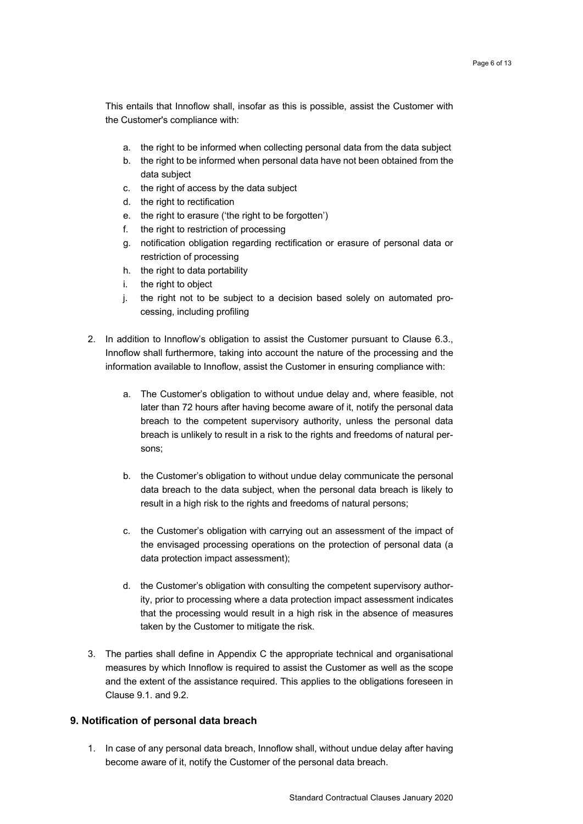This entails that Innoflow shall, insofar as this is possible, assist the Customer with the Customer's compliance with:

- a. the right to be informed when collecting personal data from the data subject
- b. the right to be informed when personal data have not been obtained from the data subject
- c. the right of access by the data subject
- d. the right to rectification
- e. the right to erasure ('the right to be forgotten')
- f. the right to restriction of processing
- g. notification obligation regarding rectification or erasure of personal data or restriction of processing
- h. the right to data portability
- i. the right to object
- j. the right not to be subject to a decision based solely on automated processing, including profiling
- 2. In addition to Innoflow's obligation to assist the Customer pursuant to Clause 6.3., Innoflow shall furthermore, taking into account the nature of the processing and the information available to Innoflow, assist the Customer in ensuring compliance with:
	- a. The Customer's obligation to without undue delay and, where feasible, not later than 72 hours after having become aware of it, notify the personal data breach to the competent supervisory authority, unless the personal data breach is unlikely to result in a risk to the rights and freedoms of natural persons;
	- b. the Customer's obligation to without undue delay communicate the personal data breach to the data subject, when the personal data breach is likely to result in a high risk to the rights and freedoms of natural persons;
	- c. the Customer's obligation with carrying out an assessment of the impact of the envisaged processing operations on the protection of personal data (a data protection impact assessment);
	- d. the Customer's obligation with consulting the competent supervisory authority, prior to processing where a data protection impact assessment indicates that the processing would result in a high risk in the absence of measures taken by the Customer to mitigate the risk.
- 3. The parties shall define in Appendix C the appropriate technical and organisational measures by which Innoflow is required to assist the Customer as well as the scope and the extent of the assistance required. This applies to the obligations foreseen in Clause 9.1. and 9.2.

#### **9. Notification of personal data breach**

1. In case of any personal data breach, Innoflow shall, without undue delay after having become aware of it, notify the Customer of the personal data breach.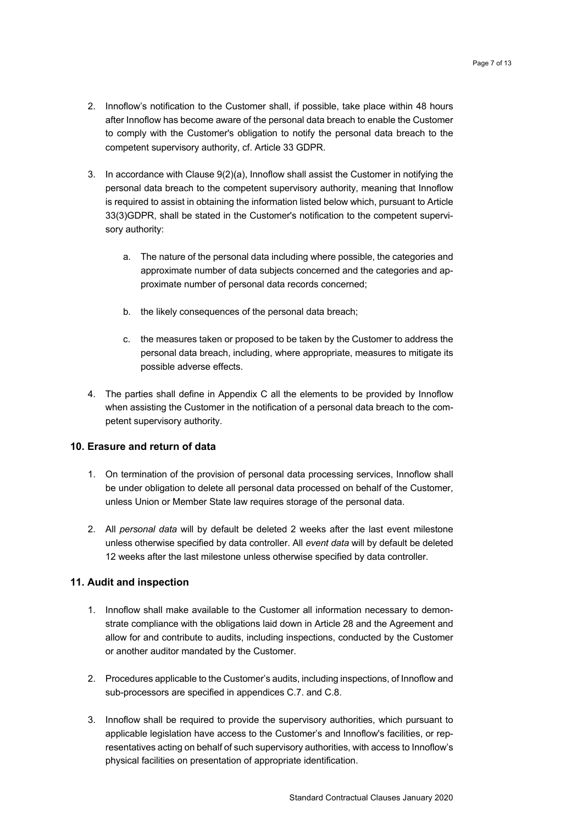- 2. Innoflow's notification to the Customer shall, if possible, take place within 48 hours after Innoflow has become aware of the personal data breach to enable the Customer to comply with the Customer's obligation to notify the personal data breach to the competent supervisory authority, cf. Article 33 GDPR.
- 3. In accordance with Clause 9(2)(a), Innoflow shall assist the Customer in notifying the personal data breach to the competent supervisory authority, meaning that Innoflow is required to assist in obtaining the information listed below which, pursuant to Article 33(3)GDPR, shall be stated in the Customer's notification to the competent supervisory authority:
	- a. The nature of the personal data including where possible, the categories and approximate number of data subjects concerned and the categories and approximate number of personal data records concerned;
	- b. the likely consequences of the personal data breach;
	- c. the measures taken or proposed to be taken by the Customer to address the personal data breach, including, where appropriate, measures to mitigate its possible adverse effects.
- 4. The parties shall define in Appendix C all the elements to be provided by Innoflow when assisting the Customer in the notification of a personal data breach to the competent supervisory authority.

#### **10. Erasure and return of data**

- 1. On termination of the provision of personal data processing services, Innoflow shall be under obligation to delete all personal data processed on behalf of the Customer, unless Union or Member State law requires storage of the personal data.
- 2. All *personal data* will by default be deleted 2 weeks after the last event milestone unless otherwise specified by data controller. All *event data* will by default be deleted 12 weeks after the last milestone unless otherwise specified by data controller.

#### **11. Audit and inspection**

- 1. Innoflow shall make available to the Customer all information necessary to demonstrate compliance with the obligations laid down in Article 28 and the Agreement and allow for and contribute to audits, including inspections, conducted by the Customer or another auditor mandated by the Customer.
- 2. Procedures applicable to the Customer's audits, including inspections, of Innoflow and sub-processors are specified in appendices C.7. and C.8.
- 3. Innoflow shall be required to provide the supervisory authorities, which pursuant to applicable legislation have access to the Customer's and Innoflow's facilities, or representatives acting on behalf of such supervisory authorities, with access to Innoflow's physical facilities on presentation of appropriate identification.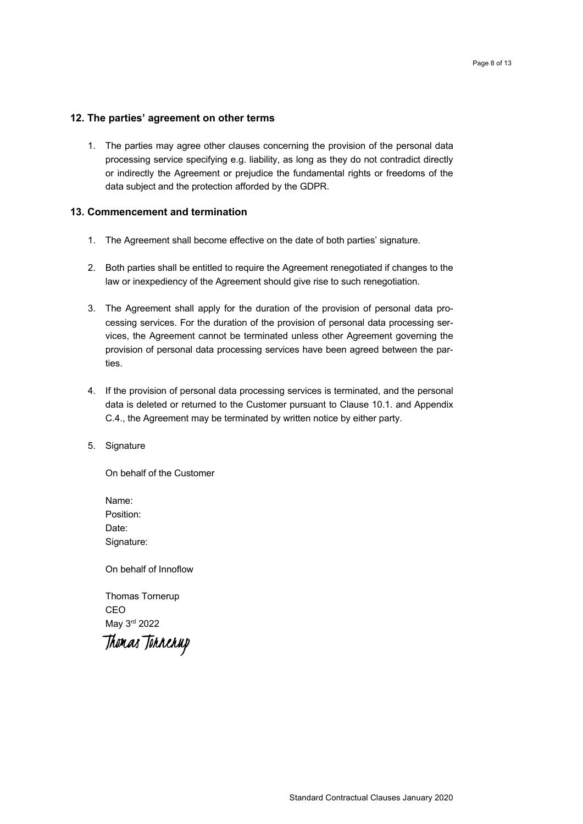# **12. The parties' agreement on other terms**

1. The parties may agree other clauses concerning the provision of the personal data processing service specifying e.g. liability, as long as they do not contradict directly or indirectly the Agreement or prejudice the fundamental rights or freedoms of the data subject and the protection afforded by the GDPR.

# **13. Commencement and termination**

- 1. The Agreement shall become effective on the date of both parties' signature.
- 2. Both parties shall be entitled to require the Agreement renegotiated if changes to the law or inexpediency of the Agreement should give rise to such renegotiation.
- 3. The Agreement shall apply for the duration of the provision of personal data processing services. For the duration of the provision of personal data processing services, the Agreement cannot be terminated unless other Agreement governing the provision of personal data processing services have been agreed between the parties.
- 4. If the provision of personal data processing services is terminated, and the personal data is deleted or returned to the Customer pursuant to Clause 10.1. and Appendix C.4., the Agreement may be terminated by written notice by either party.
- 5. Signature

On behalf of the Customer

Name: Position: Date: Signature:

On behalf of Innoflow

Thomas Tornerup CEO May 3rd 2022

Thomas Tonnenup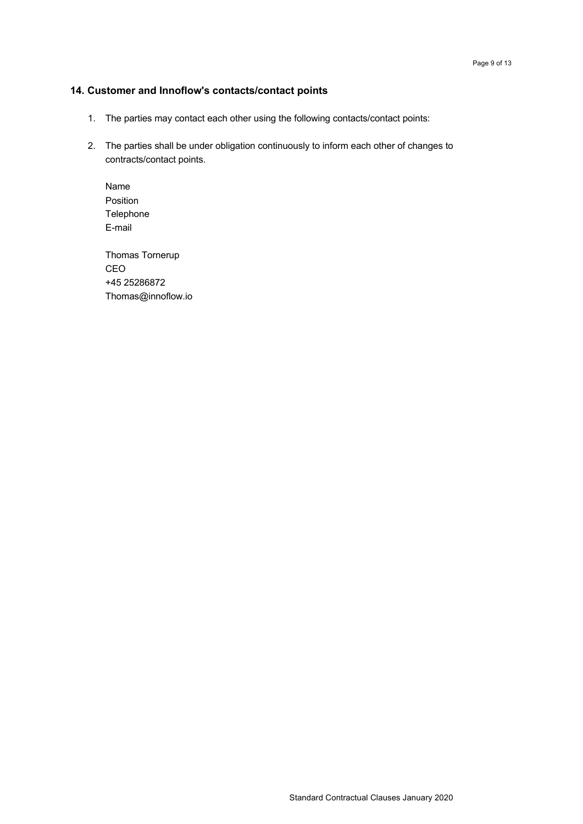### **14. Customer and Innoflow's contacts/contact points**

- 1. The parties may contact each other using the following contacts/contact points:
- 2. The parties shall be under obligation continuously to inform each other of changes to contracts/contact points.

Name Position Telephone E-mail

Thomas Tornerup CEO +45 25286872 Thomas@innoflow.io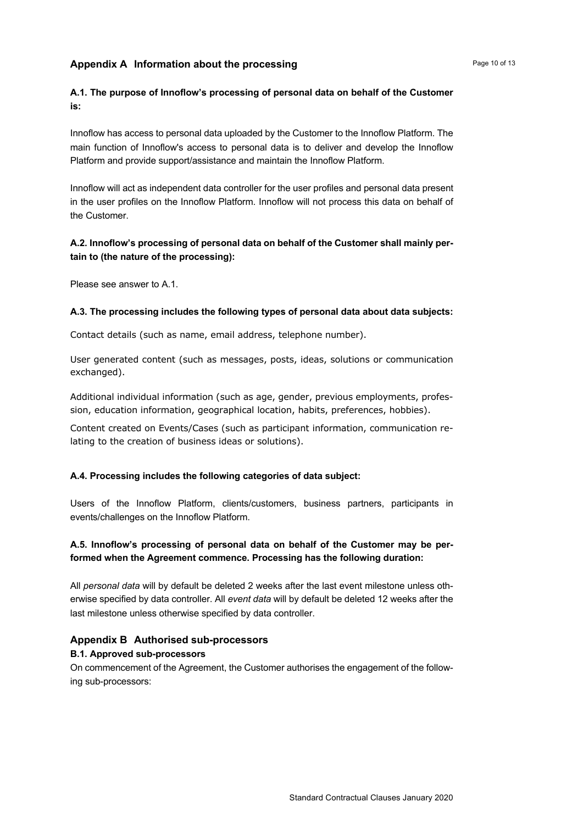# **Appendix A** Information about the processing **Internal Contains a Page 10 of 13 Page 10 of 13**

# **A.1. The purpose of Innoflow's processing of personal data on behalf of the Customer is:**

Innoflow has access to personal data uploaded by the Customer to the Innoflow Platform. The main function of Innoflow's access to personal data is to deliver and develop the Innoflow Platform and provide support/assistance and maintain the Innoflow Platform.

Innoflow will act as independent data controller for the user profiles and personal data present in the user profiles on the Innoflow Platform. Innoflow will not process this data on behalf of the Customer.

# **A.2. Innoflow's processing of personal data on behalf of the Customer shall mainly pertain to (the nature of the processing):**

Please see answer to A.1.

### **A.3. The processing includes the following types of personal data about data subjects:**

Contact details (such as name, email address, telephone number).

User generated content (such as messages, posts, ideas, solutions or communication exchanged).

Additional individual information (such as age, gender, previous employments, profession, education information, geographical location, habits, preferences, hobbies).

Content created on Events/Cases (such as participant information, communication relating to the creation of business ideas or solutions).

# **A.4. Processing includes the following categories of data subject:**

Users of the Innoflow Platform, clients/customers, business partners, participants in events/challenges on the Innoflow Platform.

# **A.5. Innoflow's processing of personal data on behalf of the Customer may be performed when the Agreement commence. Processing has the following duration:**

All *personal data* will by default be deleted 2 weeks after the last event milestone unless otherwise specified by data controller. All *event data* will by default be deleted 12 weeks after the last milestone unless otherwise specified by data controller.

# **Appendix B Authorised sub-processors**

#### **B.1. Approved sub-processors**

On commencement of the Agreement, the Customer authorises the engagement of the following sub-processors: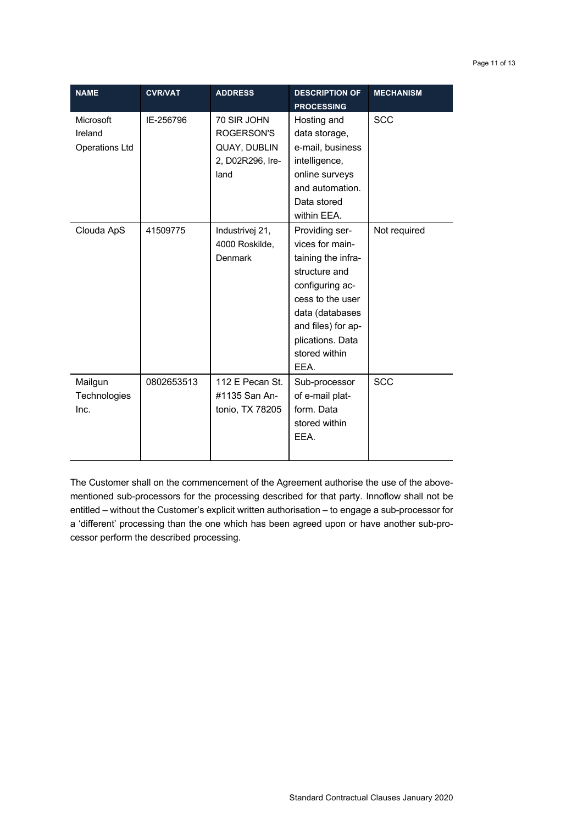| <b>NAME</b>                                   | <b>CVR/VAT</b> | <b>ADDRESS</b>                                                        | <b>DESCRIPTION OF</b><br><b>PROCESSING</b>                                                                                                                                                            | <b>MECHANISM</b> |
|-----------------------------------------------|----------------|-----------------------------------------------------------------------|-------------------------------------------------------------------------------------------------------------------------------------------------------------------------------------------------------|------------------|
| Microsoft<br>Ireland<br><b>Operations Ltd</b> | IE-256796      | 70 SIR JOHN<br>ROGERSON'S<br>QUAY, DUBLIN<br>2, D02R296, Ire-<br>land | Hosting and<br>data storage,<br>e-mail, business<br>intelligence,<br>online surveys<br>and automation.<br>Data stored<br>within EEA.                                                                  | <b>SCC</b>       |
| Clouda ApS                                    | 41509775       | Industrivej 21,<br>4000 Roskilde,<br><b>Denmark</b>                   | Providing ser-<br>vices for main-<br>taining the infra-<br>structure and<br>configuring ac-<br>cess to the user<br>data (databases<br>and files) for ap-<br>plications. Data<br>stored within<br>EEA. | Not required     |
| Mailgun<br>Technologies<br>Inc.               | 0802653513     | 112 E Pecan St.<br>#1135 San An-<br>tonio, TX 78205                   | Sub-processor<br>of e-mail plat-<br>form. Data<br>stored within<br>EEA.                                                                                                                               | <b>SCC</b>       |

The Customer shall on the commencement of the Agreement authorise the use of the abovementioned sub-processors for the processing described for that party. Innoflow shall not be entitled – without the Customer's explicit written authorisation – to engage a sub-processor for a 'different' processing than the one which has been agreed upon or have another sub-processor perform the described processing.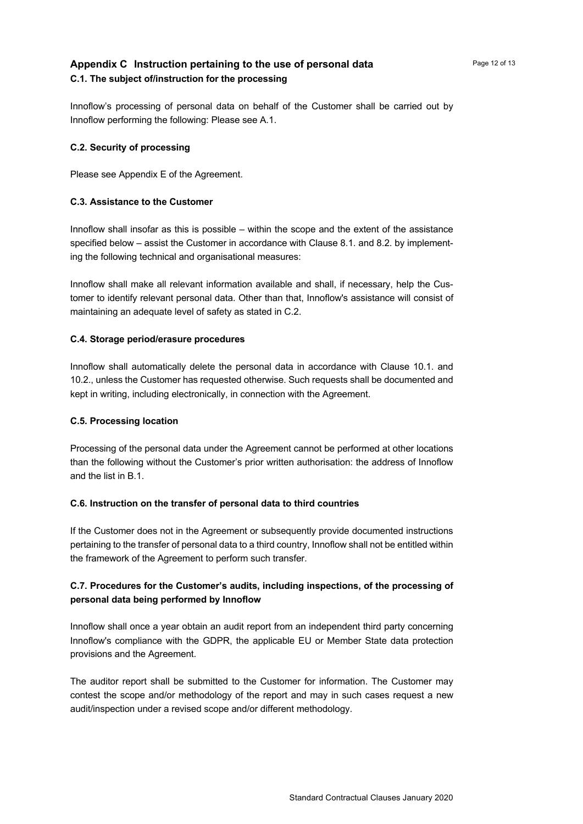# **Appendix C** Instruction pertaining to the use of personal data *Page 12 of 13* **C.1. The subject of/instruction for the processing**

#### **C.2. Security of processing**

Please see Appendix E of the Agreement.

Innoflow performing the following: Please see A.1.

#### **C.3. Assistance to the Customer**

Innoflow shall insofar as this is possible – within the scope and the extent of the assistance specified below – assist the Customer in accordance with Clause 8.1. and 8.2. by implementing the following technical and organisational measures:

Innoflow shall make all relevant information available and shall, if necessary, help the Customer to identify relevant personal data. Other than that, Innoflow's assistance will consist of maintaining an adequate level of safety as stated in C.2.

### **C.4. Storage period/erasure procedures**

Innoflow shall automatically delete the personal data in accordance with Clause 10.1. and 10.2., unless the Customer has requested otherwise. Such requests shall be documented and kept in writing, including electronically, in connection with the Agreement.

#### **C.5. Processing location**

Processing of the personal data under the Agreement cannot be performed at other locations than the following without the Customer's prior written authorisation: the address of Innoflow and the list in B.1.

# **C.6. Instruction on the transfer of personal data to third countries**

If the Customer does not in the Agreement or subsequently provide documented instructions pertaining to the transfer of personal data to a third country, Innoflow shall not be entitled within the framework of the Agreement to perform such transfer.

# **C.7. Procedures for the Customer's audits, including inspections, of the processing of personal data being performed by Innoflow**

Innoflow shall once a year obtain an audit report from an independent third party concerning Innoflow's compliance with the GDPR, the applicable EU or Member State data protection provisions and the Agreement.

The auditor report shall be submitted to the Customer for information. The Customer may contest the scope and/or methodology of the report and may in such cases request a new audit/inspection under a revised scope and/or different methodology.